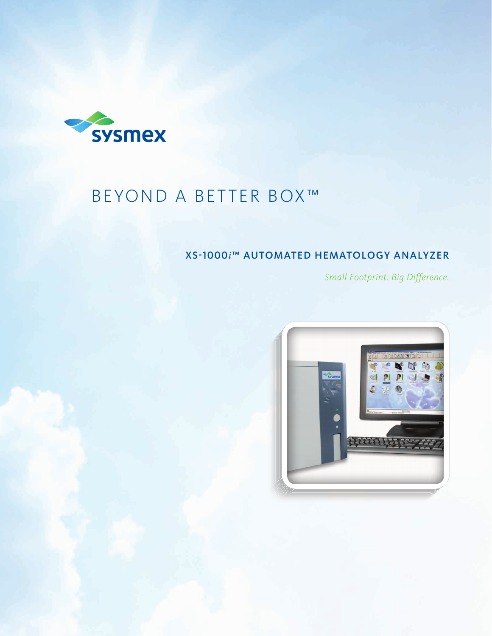

# BEYOND A BETTER BOX™

### XS-1000*i*™ AUTOMATED HEMATOLOGY ANALYZER

*Small Footprint. Big Difference.* 

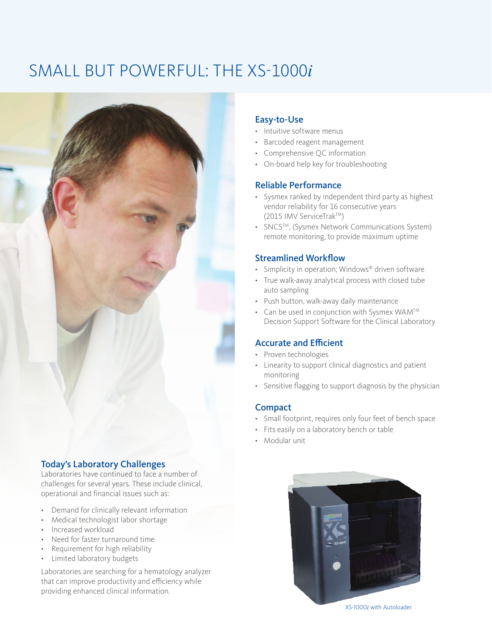## SMALL BUT POWERFUL: THE XS-1000*i*



#### Today's Laboratory Challenges

Laboratories have continued to face a number of challenges for several years. These include clinical, operational and financial issues such as:

- Demand for clinically relevant information
- Medical technologist labor shortage
- Increased workload
- Need for faster turnaround time
- Requirement for high reliability
- Limited laboratory budgets

Laboratories are searching for a hematology analyzer that can improve productivity and efficiency while providing enhanced clinical information.

#### Easy-to-Use

- • Intuitive software menus
- • Barcoded reagent management
- • Comprehensive QC information
- • On-board help key for troubleshooting

#### Reliable Performance

- • Sysmex ranked by independent third party as highest vendor reliability for 16 consecutive years (2015 IMV ServiceTrakTM)
- SNCS<sup>TM</sup>, (Sysmex Network Communications System) remote monitoring, to provide maximum uptime

#### Streamlined Workflow

- Simplicity in operation; Windows® driven software
- • True walk-away analytical process with closed tube auto sampling
- • Push button, walk-away daily maintenance
- Can be used in conjunction with Sysmex WAM<sup>TM</sup> Decision Support Software for the Clinical Laboratory

#### Accurate and Efficient

- • Proven technologies
- • Linearity to support clinical diagnostics and patient monitoring
- Sensitive flagging to support diagnosis by the physician

#### **Compact**

- • Small footprint, requires only four feet of bench space
- • Fits easily on a laboratory bench or table
- • Modular unit



XS-1000*i* with Autoloader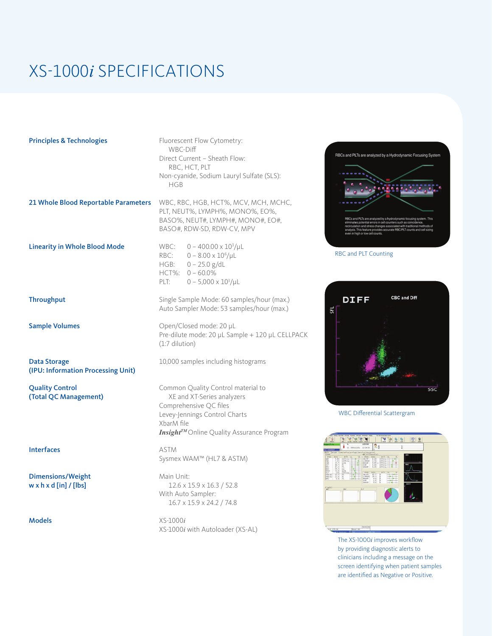## XS-1000*i* SPECIFICATIONS

#### Principles & Technologies Fluorescent Flow Cytometry:

 WBC-Diff Direct Current – Sheath Flow: RBC, HCT, PLT Non-cyanide, Sodium Lauryl Sulfate (SLS): HGB

21 Whole Blood Reportable Parameters WBC, RBC, HGB, HCT%, MCV, MCH, MCHC,

PLT, NEUT%, LYMPH%, MONO%, EO%, BASO%, NEUT#, LYMPH#, MONO#, EO#, BASO#, RDW-SD, RDW-CV, MPV

 $0 - 400.00 \times 10^3/\mu L$ 

RBC:  $0 - 8.00 \times 10^6/\mu L$ HGB:  $0 - 25.0$  g/dL HCT%: 0 – 60.0% PLT:  $0 - 5,000 \times 10^3/\mu L$ 

Linearity in Whole Blood Mode WBC:

**Data Storage** 10,000 samples including histograms (IPU: Information Processing Unit)

Interfaces ASTM

Dimensions/Weight Main Unit:

**Throughput** Single Sample Mode: 60 samples/hour (max.) Auto Sampler Mode: 53 samples/hour (max.)

Sample Volumes **Cample Volumes** Open/Closed mode: 20 µL Pre-dilute mode: 20 µL Sample + 120 µL CELLPACK (1:7 dilution)

**Quality Control** Common Quality Control material to (Total QC Management) XE and XT-Series analyzers Comprehensive QC files Levey-Jennings Control Charts XbarM file **InsightTM** Online Quality Assurance Program

Sysmex WAM™ (HL7 & ASTM)

**w x h x d [in] / [lbs]** 12.6 x 15.9 x 16.3 / 52.8 With Auto Sampler: 16.7 x 15.9 x 24.2 / 74.8

Models XS-1000*i* XS-1000*i* with Autoloader (XS-AL)

# RBCs and PLTs are analyzed by a Hydrodynamic Focusing System **SACE**

RBC and PLT Counting



WBC Differential Scattergram



The XS-1000*i* improves workflow by providing diagnostic alerts to clinicians including a message on the screen identifying when patient samples are identified as Negative or Positive.